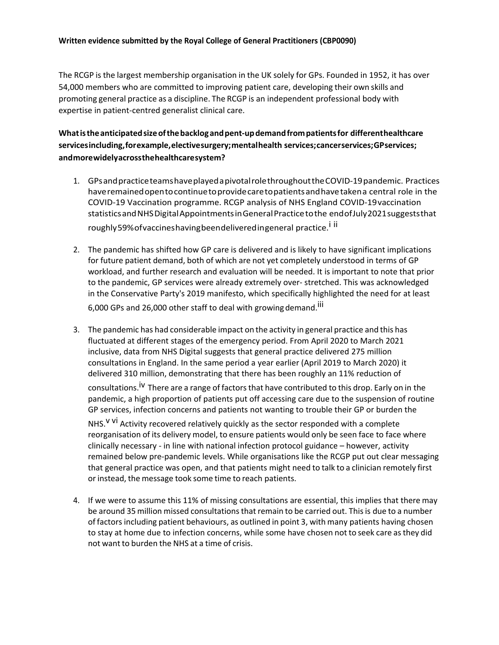### **Written evidence submitted by the Royal College of General Practitioners (CBP0090)**

The RCGP is the largest membership organisation in the UK solely for GPs. Founded in 1952, it has over 54,000 members who are committed to improving patient care, developing their own skills and promoting general practice as a discipline. The RCGP is an independent professional body with expertise in patient-centred generalist clinical care.

## **Whatistheanticipatedsizeofthebacklogandpent-updemandfrompatientsfor differenthealthcare servicesincluding,forexample,electivesurgery;mentalhealth services;cancerservices;GPservices; andmorewidelyacrossthehealthcaresystem?**

- 1. GPsandpracticeteamshaveplayedapivotalrolethroughouttheCOVID-19pandemic. Practices haveremainedopentocontinuetoprovidecaretopatientsandhavetakena central role in the COVID-19 Vaccination programme. RCGP analysis of NHS England COVID-19vaccination statisticsandNHSDigitalAppointmentsinGeneralPracticetothe endofJuly2021suggeststhat roughly59%ofvaccineshavingbeendeliveredingeneral practice.<sup>i ii</sup>
- 2. The pandemic has shifted how GP care is delivered and is likely to have significant implications for future patient demand, both of which are not yet completely understood in terms of GP workload, and further research and evaluation will be needed. It is important to note that prior to the pandemic, GP services were already extremely over- stretched. This was acknowledged in the Conservative Party's 2019 manifesto, which specifically highlighted the need for at least 6,000 GPs and 26,000 other staff to deal with growing demand.<sup>iii</sup>
- 3. The pandemic has had considerable impact on the activity in general practice and this has fluctuated at different stages of the emergency period. From April 2020 to March 2021 inclusive, data from NHS Digital suggests that general practice delivered 275 million consultations in England. In the same period a year earlier (April 2019 to March 2020) it delivered 310 million, demonstrating that there has been roughly an 11% reduction of

consultations.<sup>iv</sup> There are a range of factors that have contributed to this drop. Early on in the pandemic, a high proportion of patients put off accessing care due to the suspension of routine GP services, infection concerns and patients not wanting to trouble their GP or burden the

NHS.<sup>V Vi</sup> Activity recovered relatively quickly as the sector responded with a complete reorganisation of its delivery model, to ensure patients would only be seen face to face where clinically necessary - in line with national infection protocol guidance – however, activity remained below pre-pandemic levels. While organisations like the RCGP put out clear messaging that general practice was open, and that patients might need to talk to a clinician remotely first or instead, the message took some time to reach patients.

4. If we were to assume this 11% of missing consultations are essential, this implies that there may be around 35 million missed consultations that remain to be carried out. This is due to a number of factors including patient behaviours, as outlined in point 3, with many patients having chosen to stay at home due to infection concerns, while some have chosen not to seek care asthey did not want to burden the NHS at a time of crisis.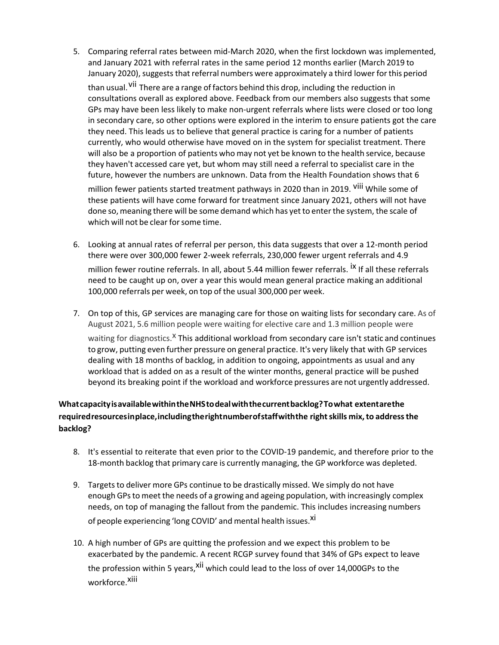5. Comparing referral rates between mid-March 2020, when the first lockdown was implemented, and January 2021 with referral rates in the same period 12 months earlier (March 2019 to January 2020), suggests that referral numbers were approximately a third lower for this period than usual. <sup>Vii</sup> There are a range of factors behind this drop, including the reduction in consultations overall as explored above. Feedback from our members also suggests that some GPs may have been less likely to make non-urgent referrals where lists were closed or too long in secondary care, so other options were explored in the interim to ensure patients got the care they need. This leads us to believe that general practice is caring for a number of patients currently, who would otherwise have moved on in the system for specialist treatment. There will also be a proportion of patients who may not yet be known to the health service, because they haven't accessed care yet, but whom may still need a referral to specialist care in the future, however the numbers are unknown. Data from the Health Foundation shows that 6

million fewer patients started treatment pathways in 2020 than in 2019. <sup>Viii</sup> While some of these patients will have come forward for treatment since January 2021, others will not have done so, meaning there will be some demand which has yet to enter the system, the scale of which will not be clear for some time.

- 6. Looking at annual rates of referral per person, this data suggests that over a 12-month period there were over 300,000 fewer 2-week referrals, 230,000 fewer urgent referrals and 4.9 million fewer routine referrals. In all, about 5.44 million fewer referrals. <sup>IX</sup> If all these referrals need to be caught up on, over a year this would mean general practice making an additional 100,000 referrals per week, on top of the usual 300,000 per week.
- 7. On top of this, GP services are managing care for those on waiting lists for secondary care. As of August 2021, 5.6 million people were waiting for elective care and 1.3 million people were waiting for diagnostics.<sup>X</sup> This additional workload from secondary care isn't static and continues to grow, putting even further pressure on general practice. It's very likely that with GP services dealing with 18 months of backlog, in addition to ongoing, appointments as usual and any workload that is added on as a result of the winter months, general practice will be pushed beyond its breaking point if the workload and workforce pressures are not urgently addressed.

# **WhatcapacityisavailablewithintheNHStodealwiththecurrentbacklog?Towhat extentarethe requiredresourcesinplace,includingtherightnumberofstaffwiththe rightskills mix,to addressthe backlog?**

- 8. It's essential to reiterate that even prior to the COVID-19 pandemic, and therefore prior to the 18-month backlog that primary care is currently managing, the GP workforce was depleted.
- 9. Targets to deliver more GPs continue to be drastically missed. We simply do not have enough GPsto meet the needs of a growing and ageing population, with increasingly complex needs, on top of managing the fallout from the pandemic. This includes increasing numbers of people experiencing 'long COVID' and mental health issues.<sup>Xi</sup>
- 10. A high number of GPs are quitting the profession and we expect this problem to be exacerbated by the pandemic. A recent RCGP survey found that 34% of GPs expect to leave the profession within 5 years, <sup>xii</sup> which could lead to the loss of over 14,000GPs to the workforce.<sup>Xiii</sup>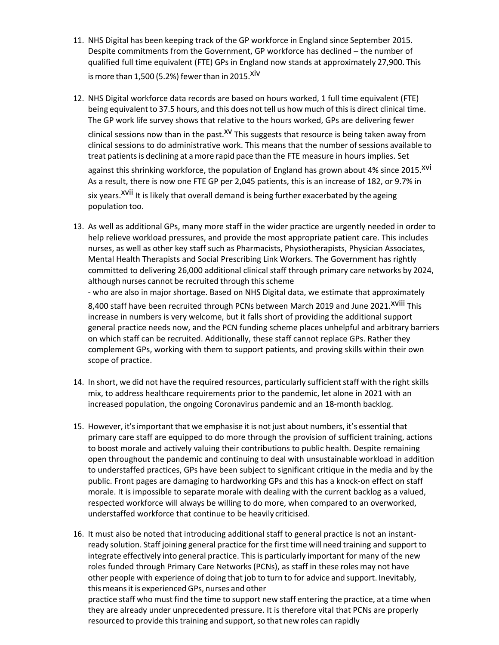- 11. NHS Digital has been keeping track of the GP workforce in England since September 2015. Despite commitments from the Government, GP workforce has declined – the number of qualified full time equivalent (FTE) GPs in England now stands at approximately 27,900. This is more than 1,500 (5.2%) fewer than in 2015. $XIV$
- 12. NHS Digital workforce data records are based on hours worked, 1 full time equivalent (FTE) being equivalent to 37.5 hours, and this does not tell us how much of this is direct clinical time. The GP work life survey shows that relative to the hours worked, GPs are delivering fewer

clinical sessions now than in the past.<sup>XV</sup> This suggests that resource is being taken away from clinical sessions to do administrative work. This means that the number of sessions available to treat patients is declining at a more rapid pace than the FTE measure in hours implies. Set

against this shrinking workforce, the population of England has grown about 4% since 2015.<sup>XVI</sup> As a result, there is now one FTE GP per 2,045 patients, this is an increase of 182, or 9.7% in six years.<sup>XVII</sup> It is likely that overall demand is being further exacerbated by the ageing population too.

13. As well as additional GPs, many more staff in the wider practice are urgently needed in order to help relieve workload pressures, and provide the most appropriate patient care. This includes nurses, as well as other key staff such as Pharmacists, Physiotherapists, Physician Associates, Mental Health Therapists and Social Prescribing Link Workers. The Government has rightly committed to delivering 26,000 additional clinical staff through primary care networks by 2024, although nurses cannot be recruited through this scheme

- who are also in major shortage. Based on NHS Digital data, we estimate that approximately

8,400 staff have been recruited through PCNs between March 2019 and June 2021.<sup>XVIII</sup> This increase in numbers is very welcome, but it falls short of providing the additional support general practice needs now, and the PCN funding scheme places unhelpful and arbitrary barriers on which staff can be recruited. Additionally, these staff cannot replace GPs. Rather they complement GPs, working with them to support patients, and proving skills within their own scope of practice.

- 14. In short, we did not have the required resources, particularly sufficient staff with the right skills mix, to address healthcare requirements prior to the pandemic, let alone in 2021 with an increased population, the ongoing Coronavirus pandemic and an 18-month backlog.
- 15. However, it'simportant that we emphasise it is not just about numbers, it's essential that primary care staff are equipped to do more through the provision of sufficient training, actions to boost morale and actively valuing their contributions to public health. Despite remaining open throughout the pandemic and continuing to deal with unsustainable workload in addition to understaffed practices, GPs have been subject to significant critique in the media and by the public. Front pages are damaging to hardworking GPs and this has a knock-on effect on staff morale. It is impossible to separate morale with dealing with the current backlog as a valued, respected workforce will always be willing to do more, when compared to an overworked, understaffed workforce that continue to be heavily criticised.
- 16. It must also be noted that introducing additional staff to general practice is not an instantready solution. Staff joining general practice for the first time will need training and support to integrate effectively into general practice. This is particularly important for many of the new roles funded through Primary Care Networks (PCNs), as staff in these roles may not have other people with experience of doing that job to turn to for advice and support. Inevitably, this means it is experienced GPs, nurses and other

practice staff who must find the time to support new staff entering the practice, at a time when they are already under unprecedented pressure. It is therefore vital that PCNs are properly resourced to provide this training and support, so that new roles can rapidly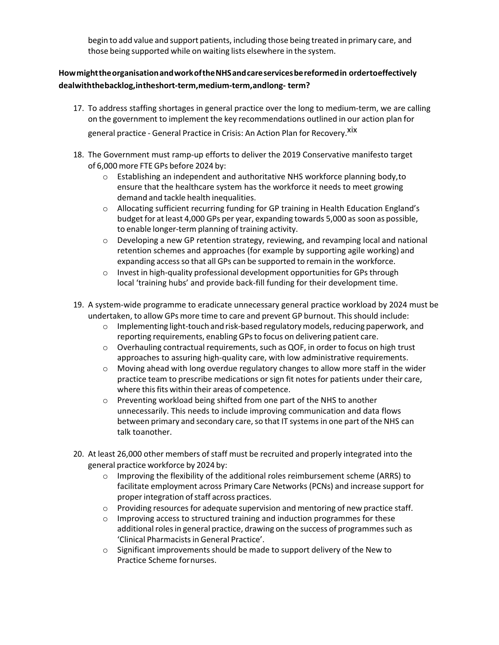begin to add value and support patients, including those being treated in primary care, and those being supported while on waiting lists elsewhere in the system.

## **HowmighttheorganisationandworkoftheNHSandcareservicesbereformedin ordertoeffectively dealwiththebacklog,intheshort-term,medium-term,andlong- term?**

- 17. To address staffing shortages in general practice over the long to medium-term, we are calling on the government to implement the key recommendations outlined in our action plan for general practice - General Practice in Crisis: An Action Plan for Recovery.<sup>xix</sup>
- 18. The Government must ramp-up efforts to deliver the 2019 Conservative manifesto target of 6,000 more FTE GPs before 2024 by:
	- o Establishing an independent and authoritative NHS workforce planning body,to ensure that the healthcare system has the workforce it needs to meet growing demand and tackle health inequalities.
	- o Allocating sufficient recurring funding for GP training in Health Education England's budget for at least 4,000 GPs per year, expanding towards 5,000 as soon as possible, to enable longer-term planning of training activity.
	- $\circ$  Developing a new GP retention strategy, reviewing, and revamping local and national retention schemes and approaches (for example by supporting agile working) and expanding access so that all GPs can be supported to remain in the workforce.
	- o Invest in high-quality professional development opportunities for GPs through local 'training hubs' and provide back-fill funding for their development time.
- 19. A system-wide programme to eradicate unnecessary general practice workload by 2024 must be undertaken, to allow GPs more time to care and prevent GP burnout. Thisshould include:
	- $\circ$  Implementing light-touch and risk-based regulatory models, reducing paperwork, and reporting requirements, enabling GPsto focus on delivering patient care.
	- $\circ$  Overhauling contractual requirements, such as QOF, in order to focus on high trust approaches to assuring high-quality care, with low administrative requirements.
	- $\circ$  Moving ahead with long overdue regulatory changes to allow more staff in the wider practice team to prescribe medications or sign fit notes for patients under their care, where this fits within their areas of competence.
	- o Preventing workload being shifted from one part of the NHS to another unnecessarily. This needs to include improving communication and data flows between primary and secondary care, so that IT systems in one part of the NHS can talk toanother.
- 20. At least 26,000 other members of staff must be recruited and properly integrated into the general practice workforce by 2024 by:
	- $\circ$  Improving the flexibility of the additional roles reimbursement scheme (ARRS) to facilitate employment across Primary Care Networks (PCNs) and increase support for proper integration of staff across practices.
	- $\circ$  Providing resources for adequate supervision and mentoring of new practice staff.
	- o Improving access to structured training and induction programmes for these additional roles in general practice, drawing on the success of programmes such as 'Clinical Pharmacistsin General Practice'.
	- o Significant improvements should be made to support delivery of the New to Practice Scheme fornurses.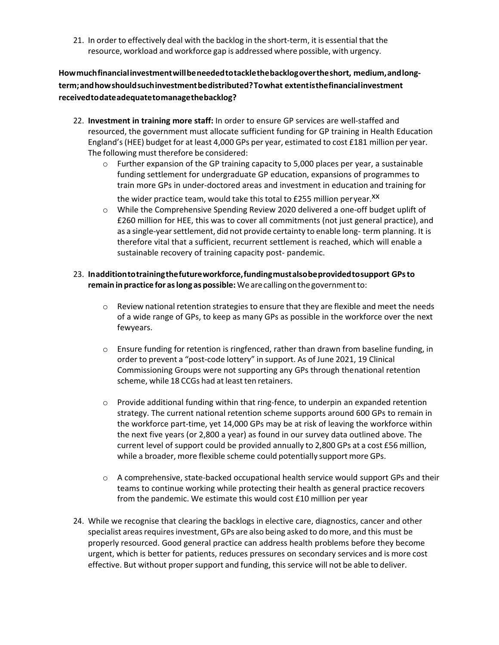21. In order to effectively deal with the backlog in the short-term, it is essential that the resource, workload and workforce gap is addressed where possible, with urgency.

**Howmuchfinancialinvestmentwillbeneededtotacklethebacklogovertheshort, medium,andlongterm;andhowshouldsuchinvestmentbedistributed?Towhat extentisthefinancialinvestment receivedtodateadequatetomanagethebacklog?**

- 22. **Investment in training more staff:** In order to ensure GP services are well-staffed and resourced, the government must allocate sufficient funding for GP training in Health Education England's(HEE) budget for at least 4,000 GPs per year, estimated to cost £181 million per year. The following must therefore be considered:
	- $\circ$  Further expansion of the GP training capacity to 5,000 places per year, a sustainable funding settlement for undergraduate GP education, expansions of programmes to train more GPs in under-doctored areas and investment in education and training for

the wider practice team, would take this total to £255 million peryear.<sup>XX</sup>

- o While the Comprehensive Spending Review 2020 delivered a one-off budget uplift of £260 million for HEE, this was to cover all commitments (not just general practice), and as a single-year settlement, did not provide certainty to enable long- term planning. It is therefore vital that a sufficient, recurrent settlement is reached, which will enable a sustainable recovery of training capacity post- pandemic.
- 23. **Inadditiontotrainingthefutureworkforce,fundingmustalsobeprovidedtosupport GPsto remain in practice for aslong as possible:** Wearecallingonthegovernmentto:
	- $\circ$  Review national retention strategies to ensure that they are flexible and meet the needs of a wide range of GPs, to keep as many GPs as possible in the workforce over the next fewyears.
	- o Ensure funding for retention is ringfenced, rather than drawn from baseline funding, in order to prevent a "post-code lottery" in support. As of June 2021, 19 Clinical Commissioning Groups were not supporting any GPs through thenational retention scheme, while 18 CCGs had at least ten retainers.
	- $\circ$  Provide additional funding within that ring-fence, to underpin an expanded retention strategy. The current national retention scheme supports around 600 GPs to remain in the workforce part-time, yet 14,000 GPs may be at risk of leaving the workforce within the next five years (or 2,800 a year) as found in our survey data outlined above. The current level of support could be provided annually to 2,800 GPs at a cost £56 million, while a broader, more flexible scheme could potentially support more GPs.
	- $\circ$  A comprehensive, state-backed occupational health service would support GPs and their teams to continue working while protecting their health as general practice recovers from the pandemic. We estimate this would cost £10 million per year
- 24. While we recognise that clearing the backlogs in elective care, diagnostics, cancer and other specialist areas requires investment, GPs are also being asked to do more, and this must be properly resourced. Good general practice can address health problems before they become urgent, which is better for patients, reduces pressures on secondary services and is more cost effective. But without proper support and funding, thisservice will not be able to deliver.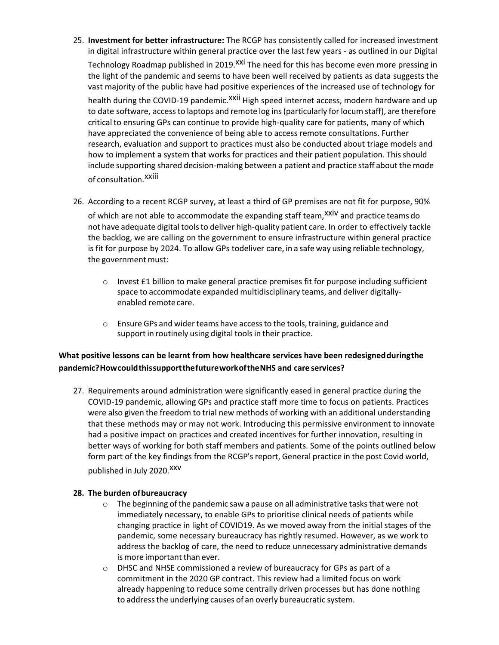- 25. **Investment for better infrastructure:** The RCGP has consistently called for increased investment in digital infrastructure within general practice over the last few years - as outlined in our Digital Technology Roadmap published in 2019. XXI The need for this has become even more pressing in the light of the pandemic and seems to have been well received by patients as data suggests the vast majority of the public have had positive experiences of the increased use of technology for health during the COVID-19 pandemic.<sup>XXII</sup> High speed internet access, modern hardware and up to date software, accessto laptops and remote log ins(particularly for locum staff), are therefore critical to ensuring GPs can continue to provide high-quality care for patients, many of which have appreciated the convenience of being able to access remote consultations. Further research, evaluation and support to practices must also be conducted about triage models and how to implement a system that works for practices and their patient population. Thisshould include supporting shared decision-making between a patient and practice staff about the mode of consultation. XXIII
- 26. According to a recent RCGP survey, at least a third of GP premises are not fit for purpose, 90%

of which are not able to accommodate the expanding staff team,<sup>xxiv</sup> and practice teams do not have adequate digital toolsto deliver high-quality patient care. In order to effectively tackle the backlog, we are calling on the government to ensure infrastructure within general practice is fit for purpose by 2024. To allow GPs todeliver care, in a safe way using reliable technology, the government must:

- $\circ$  Invest £1 billion to make general practice premises fit for purpose including sufficient space to accommodate expanded multidisciplinary teams, and deliver digitallyenabled remotecare.
- $\circ$  Ensure GPs and wider teams have access to the tools, training, guidance and support in routinely using digital tools in their practice.

## **What positive lessons can be learnt from how healthcare services have been redesignedduringthe pandemic?HowcouldthissupportthefutureworkoftheNHS and care services?**

27. Requirements around administration were significantly eased in general practice during the COVID-19 pandemic, allowing GPs and practice staff more time to focus on patients. Practices were also given the freedom to trial new methods of working with an additional understanding that these methods may or may not work. Introducing this permissive environment to innovate had a positive impact on practices and created incentives for further innovation, resulting in better ways of working for both staff members and patients. Some of the points outlined below form part of the key findings from the RCGP's report, General practice in the post Covid world, published in July 2020.<sup>XXV</sup>

### **28. The burden ofbureaucracy**

- $\circ$  The beginning of the pandemic saw a pause on all administrative tasks that were not immediately necessary, to enable GPs to prioritise clinical needs of patients while changing practice in light of COVID19. As we moved away from the initial stages of the pandemic, some necessary bureaucracy has rightly resumed. However, as we work to address the backlog of care, the need to reduce unnecessary administrative demands is more important than ever.
- o DHSC and NHSE commissioned a review of bureaucracy for GPs as part of a commitment in the 2020 GP contract. This review had a limited focus on work already happening to reduce some centrally driven processes but has done nothing to address the underlying causes of an overly bureaucratic system.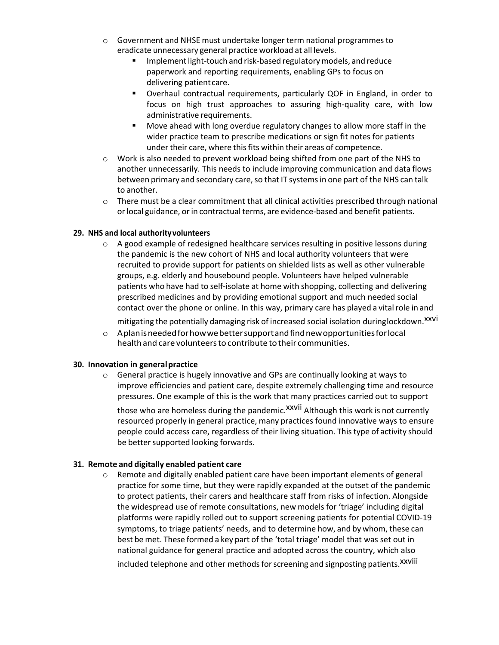- o Government and NHSE must undertake longer term national programmesto eradicate unnecessary general practice workload at all levels.
	- Implement light-touch and risk-based regulatory models, and reduce paperwork and reporting requirements, enabling GPs to focus on delivering patientcare.
	- Overhaul contractual requirements, particularly QOF in England, in order to focus on high trust approaches to assuring high-quality care, with low administrative requirements.
	- Move ahead with long overdue regulatory changes to allow more staff in the wider practice team to prescribe medications or sign fit notes for patients under their care, where this fits within their areas of competence.
- $\circ$  Work is also needed to prevent workload being shifted from one part of the NHS to another unnecessarily. This needs to include improving communication and data flows between primary and secondary care, so that IT systems in one part of the NHS can talk to another.
- o There must be a clear commitment that all clinical activities prescribed through national orlocal guidance, orin contractual terms, are evidence-based and benefit patients.

### **29. NHS and local authorityvolunteers**

 $\circ$  A good example of redesigned healthcare services resulting in positive lessons during the pandemic is the new cohort of NHS and local authority volunteers that were recruited to provide support for patients on shielded lists as well as other vulnerable groups, e.g. elderly and housebound people. Volunteers have helped vulnerable patients who have had to self-isolate at home with shopping, collecting and delivering prescribed medicines and by providing emotional support and much needed social contact over the phone or online. In this way, primary care has played a vital role in and

mitigating the potentially damaging risk of increased social isolation duringlockdown.<sup>XXVI</sup>

 $\circ$  Aplan is needed for how we better support and find new opportunities for local healthand care volunteersto contribute totheir communities.

#### **30. Innovation in generalpractice**

o General practice is hugely innovative and GPs are continually looking at ways to improve efficiencies and patient care, despite extremely challenging time and resource pressures. One example of this is the work that many practices carried out to support

those who are homeless during the pandemic.<sup>XXVII</sup> Although this work is not currently resourced properly in general practice, many practices found innovative ways to ensure people could access care, regardless of their living situation. Thistype of activity should be better supported looking forwards.

#### **31. Remote and digitally enabled patient care**

 $\circ$  Remote and digitally enabled patient care have been important elements of general practice for some time, but they were rapidly expanded at the outset of the pandemic to protect patients, their carers and healthcare staff from risks of infection. Alongside the widespread use of remote consultations, new models for 'triage' including digital platforms were rapidly rolled out to support screening patients for potential COVID-19 symptoms, to triage patients' needs, and to determine how, and by whom, these can best be met. These formed a key part of the 'total triage' model that was set out in national guidance for general practice and adopted across the country, which also included telephone and other methods for screening and signposting patients.<sup>XXVIII</sup>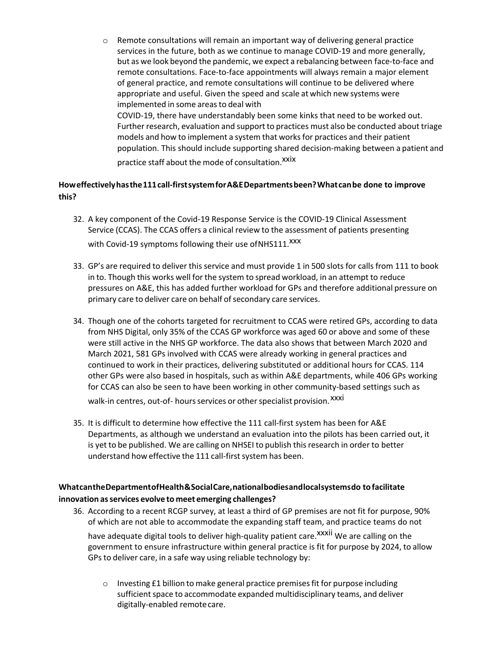$\circ$  Remote consultations will remain an important way of delivering general practice services in the future, both as we continue to manage COVID-19 and more generally, but as we look beyond the pandemic, we expect a rebalancing between face-to-face and remote consultations. Face-to-face appointments will always remain a major element of general practice, and remote consultations will continue to be delivered where appropriate and useful. Given the speed and scale at which new systems were implemented in some areas to deal with COVID-19, there have understandably been some kinks that need to be worked out. Further research, evaluation and support to practices must also be conducted about triage models and how to implement a system that worksfor practices and their patient population. This should include supporting shared decision-making between a patient and

practice staff about the mode of consultation. Xxix

## **Howeffectivelyhasthe111call-firstsystemforA&EDepartmentsbeen?Whatcanbe done to improve this?**

- 32. A key component of the Covid-19 Response Service is the COVID-19 Clinical Assessment Service (CCAS). The CCAS offers a clinical review to the assessment of patients presenting with Covid-19 symptoms following their use of NHS111.<sup>XXX</sup>
- 33. GP's are required to deliver this service and must provide 1 in 500 slots for calls from 111 to book in to. Though this works well for the system to spread workload, in an attempt to reduce pressures on A&E, this has added further workload for GPs and therefore additional pressure on primary care to deliver care on behalf of secondary care services.
- 34. Though one of the cohorts targeted for recruitment to CCAS were retired GPs, according to data from NHS Digital, only 35% of the CCAS GP workforce was aged 60 or above and some of these were still active in the NHS GP workforce. The data also shows that between March 2020 and March 2021, 581 GPs involved with CCAS were already working in general practices and continued to work in their practices, delivering substituted or additional hours for CCAS. 114 other GPs were also based in hospitals, such as within A&E departments, while 406 GPs working for CCAS can also be seen to have been working in other community-based settings such as

walk-in centres, out-of- hours services or other specialist provision.<sup>XXXI</sup>

35. It is difficult to determine how effective the 111 call-first system has been for A&E Departments, as although we understand an evaluation into the pilots has been carried out, it is yet to be published. We are calling on NHSEI to publish thisresearch in order to better understand how effective the 111 call-first system has been.

## **WhatcantheDepartmentofHealth&SocialCare,nationalbodiesandlocalsystemsdo to facilitate innovation asservices evolve to meet emerging challenges?**

- 36. According to a recent RCGP survey, at least a third of GP premises are not fit for purpose, 90% of which are not able to accommodate the expanding staff team, and practice teams do not have adequate digital tools to deliver high-quality patient care.<sup>XXXII</sup> We are calling on the government to ensure infrastructure within general practice is fit for purpose by 2024, to allow GPs to deliver care, in a safe way using reliable technology by:
	- $\circ$  Investing £1 billion to make general practice premises fit for purpose including sufficient space to accommodate expanded multidisciplinary teams, and deliver digitally-enabled remotecare.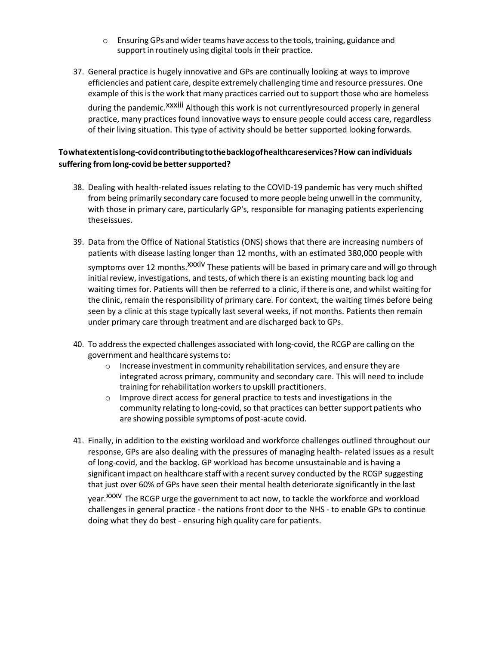- o Ensuring GPs and wider teams have accessto the tools,training, guidance and support in routinely using digital tools in their practice.
- 37. General practice is hugely innovative and GPs are continually looking at ways to improve efficiencies and patient care, despite extremely challenging time and resource pressures. One example of this is the work that many practices carried out to support those who are homeless during the pandemic.<sup>XXXiii</sup> Although this work is not currentlyresourced properly in general practice, many practices found innovative ways to ensure people could access care, regardless of their living situation. This type of activity should be better supported looking forwards.

## **Towhatextentislong-covidcontributingtothebacklogofhealthcareservices?How can individuals suffering from long-covid be bettersupported?**

- 38. Dealing with health-related issues relating to the COVID-19 pandemic has very much shifted from being primarily secondary care focused to more people being unwell in the community, with those in primary care, particularly GP's, responsible for managing patients experiencing theseissues.
- 39. Data from the Office of National Statistics (ONS) shows that there are increasing numbers of patients with disease lasting longer than 12 months, with an estimated 380,000 people with symptoms over 12 months.<sup>xxxiv</sup> These patients will be based in primary care and will go through initial review, investigations, and tests, of which there is an existing mounting back log and waiting times for. Patients will then be referred to a clinic, if there is one, and whilst waiting for the clinic, remain the responsibility of primary care. For context, the waiting times before being seen by a clinic at this stage typically last several weeks, if not months. Patients then remain under primary care through treatment and are discharged back to GPs.
- 40. To addressthe expected challenges associated with long-covid, the RCGP are calling on the government and healthcare systemsto:
	- o Increase investment in community rehabilitation services, and ensure they are integrated across primary, community and secondary care. This will need to include training for rehabilitation workers to upskill practitioners.
	- o Improve direct access for general practice to tests and investigations in the community relating to long-covid, so that practices can better support patients who are showing possible symptoms of post-acute covid.
- 41. Finally, in addition to the existing workload and workforce challenges outlined throughout our response, GPs are also dealing with the pressures of managing health- related issues as a result of long-covid, and the backlog. GP workload has become unsustainable and is having a significant impact on healthcare staff with a recent survey conducted by the RCGP suggesting that just over 60% of GPs have seen their mental health deteriorate significantly in the last

year.<sup>XXXV</sup> The RCGP urge the government to act now, to tackle the workforce and workload challenges in general practice - the nations front door to the NHS - to enable GPs to continue doing what they do best - ensuring high quality care for patients.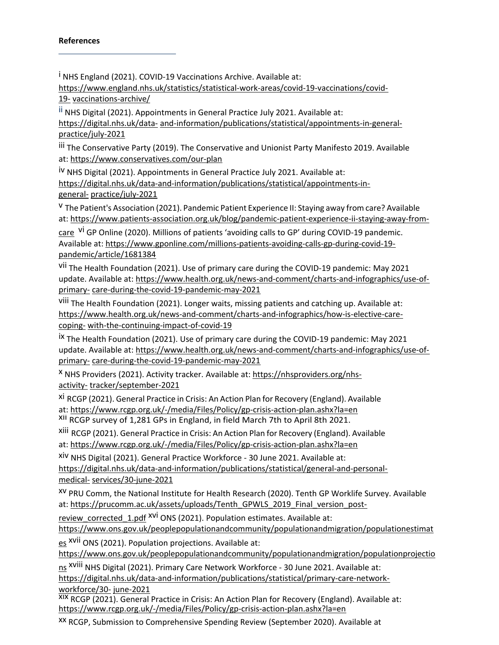### **References**

<sup>i</sup> NHS England (2021). COVID-19 Vaccinations Archive. Available at:

[https://www.england.nhs.uk/statistics/statistical-work-areas/covid-19-vaccinations/covid-](https://www.england.nhs.uk/statistics/statistical-work-areas/covid-19-vaccinations/covid-19-vaccinations-archive/)[19-](https://www.england.nhs.uk/statistics/statistical-work-areas/covid-19-vaccinations/covid-19-vaccinations-archive/) [vaccinations-archive/](https://www.england.nhs.uk/statistics/statistical-work-areas/covid-19-vaccinations/covid-19-vaccinations-archive/)

ii NHS Digital (2021). Appointments in General Practice July 2021. Available at: [https://digital.nhs.uk/data-](https://digital.nhs.uk/data-and-information/publications/statistical/appointments-in-general-practice/july-2021) [and-information/publications/statistical/appointments-in-general](https://digital.nhs.uk/data-and-information/publications/statistical/appointments-in-general-practice/july-2021)[practice/july-2021](https://digital.nhs.uk/data-and-information/publications/statistical/appointments-in-general-practice/july-2021)

iii The Conservative Party (2019). The Conservative and Unionist Party Manifesto 2019. Available at: <https://www.conservatives.com/our-plan>

iv NHS Digital (2021). Appointments in General Practice July 2021. Available at: [https://digital.nhs.uk/data-and-information/publications/statistical/appointments-in](https://digital.nhs.uk/data-and-information/publications/statistical/appointments-in-general-practice/july-2021)[general-](https://digital.nhs.uk/data-and-information/publications/statistical/appointments-in-general-practice/july-2021) [practice/july-2021](https://digital.nhs.uk/data-and-information/publications/statistical/appointments-in-general-practice/july-2021)

v The Patient's Association (2021). Pandemic Patient Experience II: Staying away fromcare? Available at: [https://www.patients-association.org.uk/blog/pandemic-patient-experience-ii-staying-away-from-](https://www.patients-association.org.uk/blog/pandemic-patient-experience-ii-staying-away-from-care)

[care](https://www.patients-association.org.uk/blog/pandemic-patient-experience-ii-staying-away-from-care) <sup>vi</sup> GP Online (2020). Millions of patients 'avoiding calls to GP' during COVID-19 pandemic. Available at: [https://www.gponline.com/millions-patients-avoiding-calls-gp-during-covid-19](https://www.gponline.com/millions-patients-avoiding-calls-gp-during-covid-19-pandemic/article/1681384) [pandemic/article/1681384](https://www.gponline.com/millions-patients-avoiding-calls-gp-during-covid-19-pandemic/article/1681384)

vii The Health Foundation (2021). Use of primary care during the COVID-19 pandemic: May 2021 update. Available at: [https://www.health.org.uk/news-and-comment/charts-and-infographics/use-of](https://www.health.org.uk/news-and-comment/charts-and-infographics/use-of-primary-care-during-the-covid-19-pandemic-may-2021)[primary-](https://www.health.org.uk/news-and-comment/charts-and-infographics/use-of-primary-care-during-the-covid-19-pandemic-may-2021) [care-during-the-covid-19-pandemic-may-2021](https://www.health.org.uk/news-and-comment/charts-and-infographics/use-of-primary-care-during-the-covid-19-pandemic-may-2021)

viii The Health Foundation (2021). Longer waits, missing patients and catching up. Available at: [https://www.health.org.uk/news-and-comment/charts-and-infographics/how-is-elective-care](https://www.health.org.uk/news-and-comment/charts-and-infographics/how-is-elective-care-coping-with-the-continuing-impact-of-covid-19)[coping-](https://www.health.org.uk/news-and-comment/charts-and-infographics/how-is-elective-care-coping-with-the-continuing-impact-of-covid-19) [with-the-continuing-impact-of-covid-19](https://www.health.org.uk/news-and-comment/charts-and-infographics/how-is-elective-care-coping-with-the-continuing-impact-of-covid-19)

ix The Health Foundation (2021). Use of primary care during the COVID-19 pandemic: May 2021 update. Available at: [https://www.health.org.uk/news-and-comment/charts-and-infographics/use-of](https://www.health.org.uk/news-and-comment/charts-and-infographics/use-of-primary-care-during-the-covid-19-pandemic-may-2021)[primary-](https://www.health.org.uk/news-and-comment/charts-and-infographics/use-of-primary-care-during-the-covid-19-pandemic-may-2021) [care-during-the-covid-19-pandemic-may-2021](https://www.health.org.uk/news-and-comment/charts-and-infographics/use-of-primary-care-during-the-covid-19-pandemic-may-2021)

x NHS Providers (2021). Activity tracker. Available at: [https://nhsproviders.org/nhs](https://nhsproviders.org/nhs-activity-tracker/september-2021)[activity-](https://nhsproviders.org/nhs-activity-tracker/september-2021) [tracker/september-2021](https://nhsproviders.org/nhs-activity-tracker/september-2021)

xi RCGP (2021). General Practice in Crisis: An Action Plan for Recovery (England). Available at: <https://www.rcgp.org.uk/-/media/Files/Policy/gp-crisis-action-plan.ashx?la=en>

xii RCGP survey of 1,281 GPs in England, in field March 7th to April 8th 2021.

xiii RCGP (2021). General Practice in Crisis: An Action Plan for Recovery (England). Available at: <https://www.rcgp.org.uk/-/media/Files/Policy/gp-crisis-action-plan.ashx?la=en>

xiv NHS Digital (2021). General Practice Workforce - 30 June 2021. Available at: [https://digital.nhs.uk/data-and-information/publications/statistical/general-and-personal](https://digital.nhs.uk/data-and-information/publications/statistical/general-and-personal-medical-services/30-june-2021)[medical-](https://digital.nhs.uk/data-and-information/publications/statistical/general-and-personal-medical-services/30-june-2021) [services/30-june-2021](https://digital.nhs.uk/data-and-information/publications/statistical/general-and-personal-medical-services/30-june-2021)

xv PRU Comm, the National Institute for Health Research (2020). Tenth GP Worklife Survey. Available at: [https://prucomm.ac.uk/assets/uploads/Tenth\\_GPWLS\\_2019\\_Final\\_version\\_post-](https://prucomm.ac.uk/assets/uploads/Tenth_GPWLS_2019_Final_version_post-review_corrected_1.pdf)

[review\\_corrected\\_1.pdf](https://prucomm.ac.uk/assets/uploads/Tenth_GPWLS_2019_Final_version_post-review_corrected_1.pdf) <sup>xvi</sup> ONS (2021). Population estimates. Available at:

[https://www.ons.gov.uk/peoplepopulationandcommunity/populationandmigration/populationestimat](https://www.ons.gov.uk/peoplepopulationandcommunity/populationandmigration/populationestimates)

[es](https://www.ons.gov.uk/peoplepopulationandcommunity/populationandmigration/populationestimates) <sup>XVII</sup> ONS (2021). Population projections. Available at:

https://www[.](https://www.ons.gov.uk/peoplepopulationandcommunity/populationandmigration/populationprojections)on[s.g](https://www.ons.gov.uk/peoplepopulationandcommunity/populationandmigration/populationprojections)ov[.](https://www.ons.gov.uk/peoplepopulationandcommunity/populationandmigration/populationprojections)u[k/](https://www.ons.gov.uk/peoplepopulationandcommunity/populationandmigration/populationprojections)peoplepopulationandcommunit[y/](https://www.ons.gov.uk/peoplepopulationandcommunity/populationandmigration/populationprojections)populationandmigratio[n/](https://www.ons.gov.uk/peoplepopulationandcommunity/populationandmigration/populationprojections)populationprojectio

ns <sup>xviii</sup> NHS Digital (2021). Primary Care Network Workforce - 30 June 2021. Available at: [https://digital.nhs.uk/data-and-information/publications/statistical/primary-care-network](https://digital.nhs.uk/data-and-information/publications/statistical/primary-care-network-workforce/30-june-2021)[workforce/30-](https://digital.nhs.uk/data-and-information/publications/statistical/primary-care-network-workforce/30-june-2021) [june-2021](https://digital.nhs.uk/data-and-information/publications/statistical/primary-care-network-workforce/30-june-2021)

xix RCGP (2021). General Practice in Crisis: An Action Plan for Recovery (England). Available at: <https://www.rcgp.org.uk/-/media/Files/Policy/gp-crisis-action-plan.ashx?la=en>

xx RCGP, Submission to Comprehensive Spending Review (September 2020). Available at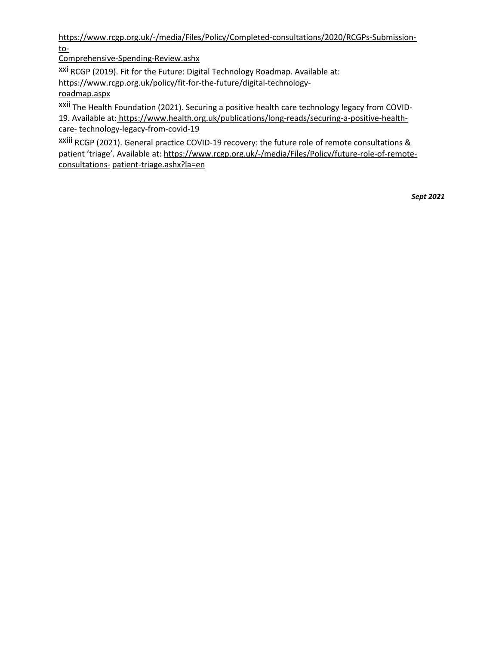[https://www.rcgp.org.uk/-/media/Files/Policy/Completed-consultations/2020/RCGPs-Submission](https://www.rcgp.org.uk/-/media/Files/Policy/Completed-consultations/2020/RCGPs-Submission-to-Comprehensive-Spending-Review.ashx)[to-](https://www.rcgp.org.uk/-/media/Files/Policy/Completed-consultations/2020/RCGPs-Submission-to-Comprehensive-Spending-Review.ashx)

[Comprehensive-Spending-Review.ashx](https://www.rcgp.org.uk/-/media/Files/Policy/Completed-consultations/2020/RCGPs-Submission-to-Comprehensive-Spending-Review.ashx)

xxi RCGP (2019). Fit for the Future: Digital Technology Roadmap. Available at:

[https://www.rcgp.org.uk/policy/fit-for-the-future/digital-technology-](https://www.rcgp.org.uk/policy/fit-for-the-future/digital-technology-roadmap.aspx)

[roadmap.aspx](https://www.rcgp.org.uk/policy/fit-for-the-future/digital-technology-roadmap.aspx)

xxii The Health Foundation (2021). Securing a positive health care technology legacy from COVID-19. Available at[:](https://www.health.org.uk/publications/long-reads/securing-a-positive-health-care-technology-legacy-from-covid-19) [https://www.health.org.uk/publications/long-reads/securing-a-positive-health](https://www.health.org.uk/publications/long-reads/securing-a-positive-health-care-technology-legacy-from-covid-19)[care-](https://www.health.org.uk/publications/long-reads/securing-a-positive-health-care-technology-legacy-from-covid-19) [technology-legacy-from-covid-19](https://www.health.org.uk/publications/long-reads/securing-a-positive-health-care-technology-legacy-from-covid-19)

xxiii RCGP (2021). General practice COVID-19 recovery: the future role of remote consultations & patient 'triage'. Available at: [https://www.rcgp.org.uk/-/media/Files/Policy/future-role-of-remote](https://www.rcgp.org.uk/-/media/Files/Policy/future-role-of-remote-consultations-patient-triage.ashx?la=en)[consultations-](https://www.rcgp.org.uk/-/media/Files/Policy/future-role-of-remote-consultations-patient-triage.ashx?la=en) [patient-triage.ashx?la=en](https://www.rcgp.org.uk/-/media/Files/Policy/future-role-of-remote-consultations-patient-triage.ashx?la=en)

*Sept 2021*